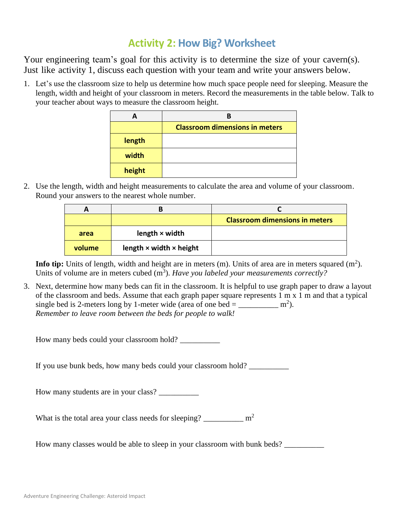## **Activity 2: How Big? Worksheet**

Your engineering team's goal for this activity is to determine the size of your cavern(s). Just like activity 1, discuss each question with your team and write your answers below.

1. Let's use the classroom size to help us determine how much space people need for sleeping. Measure the length, width and height of your classroom in meters. Record the measurements in the table below. Talk to your teacher about ways to measure the classroom height.

|        | <b>Classroom dimensions in meters</b> |  |
|--------|---------------------------------------|--|
| length |                                       |  |
| width  |                                       |  |
| height |                                       |  |

2. Use the length, width and height measurements to calculate the area and volume of your classroom. Round your answers to the nearest whole number.

| A      |                                       |                                       |
|--------|---------------------------------------|---------------------------------------|
|        |                                       | <b>Classroom dimensions in meters</b> |
| area   | length $\times$ width                 |                                       |
| volume | length $\times$ width $\times$ height |                                       |

**Info tip:** Units of length, width and height are in meters  $(m)$ . Units of area are in meters squared  $(m<sup>2</sup>)$ . Units of volume are in meters cubed (m<sup>3</sup>). Have you labeled your measurements correctly?

3. Next, determine how many beds can fit in the classroom. It is helpful to use graph paper to draw a layout of the classroom and beds. Assume that each graph paper square represents 1 m x 1 m and that a typical single bed is 2-meters long by 1-meter wide (area of one bed =  $\frac{m^2}{2m}$ *Remember to leave room between the beds for people to walk!*

How many beds could your classroom hold? \_\_\_\_\_\_\_\_\_\_

If you use bunk beds, how many beds could your classroom hold? \_\_\_\_\_\_\_\_\_\_\_\_\_\_\_\_\_

How many students are in your class?

What is the total area your class needs for sleeping?  $\mu^2$ 

How many classes would be able to sleep in your classroom with bunk beds? \_\_\_\_\_\_\_\_\_\_